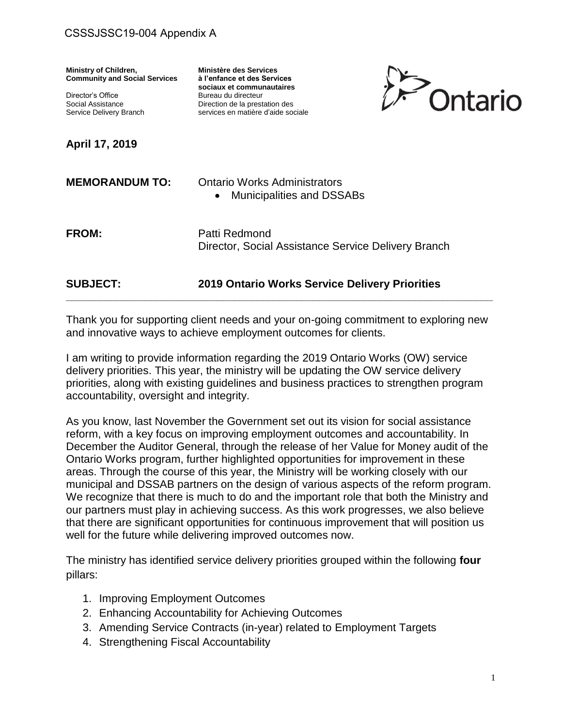#### CSSSJSSC19-004 Appendix A

**Ministry of Children, Ministère des Services Community and Social Services** 

Director's Office Bureau du directeur

**April 17, 2019**

**sociaux et communautaires**  Social Assistance **Direction de la prestation des**<br>
Service Delivery Branch<br>
Services en matière d'aide soc services en matière d'aide sociale



| <b>Ontario Works Administrators</b> |
|-------------------------------------|
| • Municipalities and DSSABs         |
|                                     |
|                                     |

**FROM:** Patti Redmond Director, Social Assistance Service Delivery Branch

#### **SUBJECT: 2019 Ontario Works Service Delivery Priorities**

Thank you for supporting client needs and your on-going commitment to exploring new and innovative ways to achieve employment outcomes for clients.

**\_\_\_\_\_\_\_\_\_\_\_\_\_\_\_\_\_\_\_\_\_\_\_\_\_\_\_\_\_\_\_\_\_\_\_\_\_\_\_\_\_\_\_\_\_\_\_\_\_\_\_\_\_\_\_\_\_\_\_\_\_\_\_\_\_\_\_\_\_\_\_\_\_\_\_\_** 

I am writing to provide information regarding the 2019 Ontario Works (OW) service delivery priorities. This year, the ministry will be updating the OW service delivery priorities, along with existing guidelines and business practices to strengthen program accountability, oversight and integrity.

As you know, last November the Government set out its vision for social assistance reform, with a key focus on improving employment outcomes and accountability. In December the Auditor General, through the release of her Value for Money audit of the Ontario Works program, further highlighted opportunities for improvement in these areas. Through the course of this year, the Ministry will be working closely with our municipal and DSSAB partners on the design of various aspects of the reform program. We recognize that there is much to do and the important role that both the Ministry and our partners must play in achieving success. As this work progresses, we also believe that there are significant opportunities for continuous improvement that will position us well for the future while delivering improved outcomes now.

The ministry has identified service delivery priorities grouped within the following **four** pillars:

- 1. Improving Employment Outcomes
- 2. Enhancing Accountability for Achieving Outcomes
- 3. Amending Service Contracts (in-year) related to Employment Targets
- 4. Strengthening Fiscal Accountability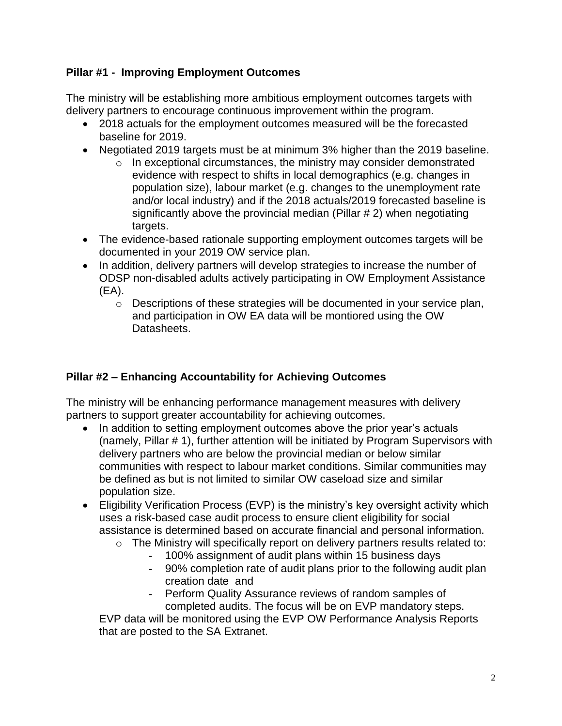# **Pillar #1 - Improving Employment Outcomes**

The ministry will be establishing more ambitious employment outcomes targets with delivery partners to encourage continuous improvement within the program.

- 2018 actuals for the employment outcomes measured will be the forecasted baseline for 2019.
- Negotiated 2019 targets must be at minimum 3% higher than the 2019 baseline.
	- o In exceptional circumstances, the ministry may consider demonstrated evidence with respect to shifts in local demographics (e.g. changes in population size), labour market (e.g. changes to the unemployment rate and/or local industry) and if the 2018 actuals/2019 forecasted baseline is significantly above the provincial median (Pillar # 2) when negotiating targets.
- The evidence-based rationale supporting employment outcomes targets will be documented in your 2019 OW service plan.
- In addition, delivery partners will develop strategies to increase the number of ODSP non-disabled adults actively participating in OW Employment Assistance (EA).
	- o Descriptions of these strategies will be documented in your service plan, and participation in OW EA data will be montiored using the OW Datasheets.

## **Pillar #2 – Enhancing Accountability for Achieving Outcomes**

The ministry will be enhancing performance management measures with delivery partners to support greater accountability for achieving outcomes.

- In addition to setting employment outcomes above the prior year's actuals (namely, Pillar # 1), further attention will be initiated by Program Supervisors with delivery partners who are below the provincial median or below similar communities with respect to labour market conditions. Similar communities may be defined as but is not limited to similar OW caseload size and similar population size.
- Eligibility Verification Process (EVP) is the ministry's key oversight activity which uses a risk-based case audit process to ensure client eligibility for social assistance is determined based on accurate financial and personal information.
	- o The Ministry will specifically report on delivery partners results related to:
		- 100% assignment of audit plans within 15 business days
		- 90% completion rate of audit plans prior to the following audit plan creation date and
		- Perform Quality Assurance reviews of random samples of completed audits. The focus will be on EVP mandatory steps.

EVP data will be monitored using the EVP OW Performance Analysis Reports that are posted to the SA Extranet.